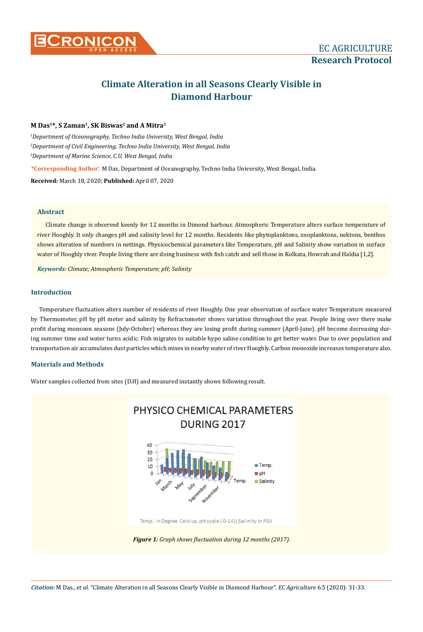

# **Climate Alteration in all Seasons Clearly Visible in Diamond Harbour**

# **M Das1\*, S Zaman1, SK Biswas2 and A Mitra3**

*1 Department of Oceanography, Techno India University, West Bengal, India 2 Department of Civil Engineering, Techno India University, West Bengal, India 3 Department of Marine Science, C.U, West Bengal, India*

**\*Corresponding Author**: M Das, Department of Oceanography, Techno India University, West Bengal, India. **Received:** March 18, 2020; **Published:** April 07, 2020

# **Abstract**

Climate change is observed keenly for 12 months in Dimond harbour. Atmospheric Temperature alters surface temperature of river Hooghly. It only changes pH and salinity level for 12 months. Residents like phytoplanktons, zooplanktons, nektons, benthos shows alteration of numbers in nettings. Physicochemical parameters like Temperature, pH and Salinity show variation in surface water of Hooghly river. People living there are doing business with fish catch and sell those in Kolkata, Howrah and Haldia [1,2].

*Keywords: Climate; Atmospheric Temperature; pH; Salinity*

## **Introduction**

Temperature fluctuation alters number of residents of river Hooghly. One year observation of surface water Temperature measured by Thermometer, pH by pH meter and salinity by Refractometer shows variation throughout the year. People living over there make profit during monsoon seasons (July-October) whereas they are losing profit during summer (April-June). pH become decreasing during summer time and water turns acidic. Fish migrates to suitable hypo saline condition to get better water. Due to over population and transportation air accumulates dust particles which mixes in nearby water of river Hooghly. Carbon monoxide increases temperature also.

## **Materials and Methods**

Water samples collected from sites (D.H) and measured instantly shows following result.

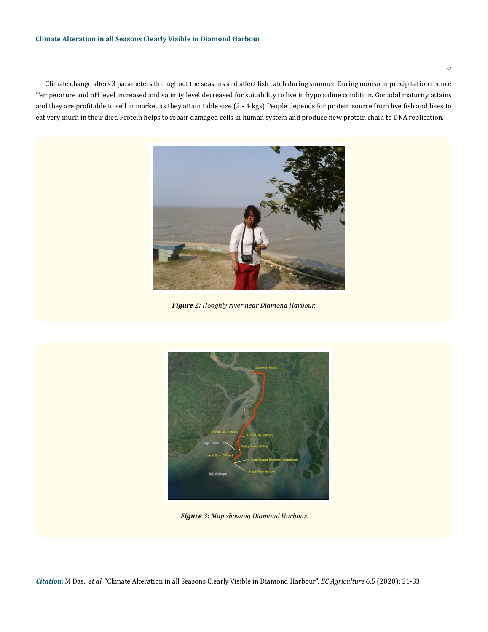Climate change alters 3 parameters throughout the seasons and affect fish catch during summer. During monsoon precipitation reduce Temperature and pH level increased and salinity level decreased for suitability to live in hypo saline condition. Gonadal maturity attains and they are profitable to sell in market as they attain table size (2 - 4 kgs) People depends for protein source from live fish and likes to eat very much in their diet. Protein helps to repair damaged cells in human system and produce new protein chain to DNA replication.



*Figure 2: Hooghly river near Diamond Harbour.*



*Figure 3: Map showing Diamond Harbour.*